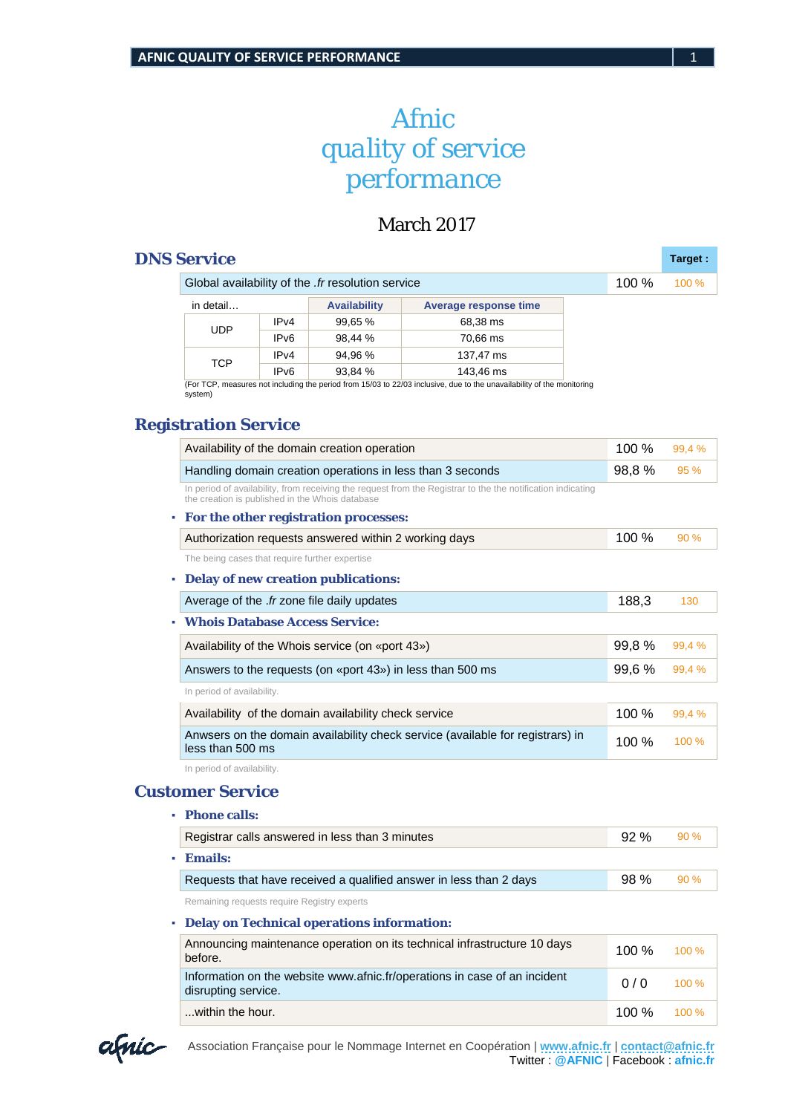# *Afnic quality of service performance*

## March 2017

### **DNS Service Target Target Target :**

|  |            | Global availability of the <i>fr</i> resolution service |                     |                       |  |  |  |
|--|------------|---------------------------------------------------------|---------------------|-----------------------|--|--|--|
|  | in detail  |                                                         | <b>Availability</b> | Average response time |  |  |  |
|  | <b>UDP</b> | IPv4                                                    | 99,65 %             | 68,38 ms              |  |  |  |
|  |            | IP <sub>v6</sub>                                        | 98.44 %             | 70,66 ms              |  |  |  |
|  | TCP        | IPv4                                                    | 94.96 %             | 137,47 ms             |  |  |  |
|  |            | IP <sub>v6</sub>                                        | 93,84 %             | 143,46 ms             |  |  |  |

(For TCP, measures not including the period from 15/03 to 22/03 inclusive, due to the unavailability of the monitoring system)

#### **Registration Service**

| Availability of the domain creation operation                                                                                                                  |  | 100%   | 99.4 % |
|----------------------------------------------------------------------------------------------------------------------------------------------------------------|--|--------|--------|
| Handling domain creation operations in less than 3 seconds                                                                                                     |  | 98,8%  | 95 %   |
| In period of availability, from receiving the request from the Registrar to the the notification indicating<br>the creation is published in the Whois database |  |        |        |
| For the other registration processes:                                                                                                                          |  |        |        |
| Authorization requests answered within 2 working days                                                                                                          |  | 100 %  | 90 %   |
| The being cases that require further expertise                                                                                                                 |  |        |        |
| <b>Delay of new creation publications:</b>                                                                                                                     |  |        |        |
| Average of the .fr zone file daily updates                                                                                                                     |  | 188,3  | 130    |
| <b>Whois Database Access Service:</b>                                                                                                                          |  |        |        |
| Availability of the Whois service (on «port 43»)                                                                                                               |  | 99,8%  | 99,4 % |
| Answers to the requests (on «port 43») in less than 500 ms                                                                                                     |  | 99,6 % | 99,4 % |
| In period of availability.                                                                                                                                     |  |        |        |
| Availability of the domain availability check service                                                                                                          |  | 100 %  | 99,4 % |
| Anwsers on the domain availability check service (available for registrars) in<br>less than 500 ms                                                             |  | 100 %  | 100 %  |
| In period of availability.                                                                                                                                     |  |        |        |
| <b>Customer Service</b>                                                                                                                                        |  |        |        |
| <b>Phone calls:</b>                                                                                                                                            |  |        |        |
| Registrar calls answered in less than 3 minutes                                                                                                                |  | 92 %   | 90 %   |
|                                                                                                                                                                |  |        |        |
| <b>Emails:</b>                                                                                                                                                 |  |        |        |

#### **▪ Delay on Technical operations information:**

| Announcing maintenance operation on its technical infrastructure 10 days<br>before.              | 100 $%$ | $100\%$  |
|--------------------------------------------------------------------------------------------------|---------|----------|
| Information on the website www.afnic.fr/operations in case of an incident<br>disrupting service. | 0/0     | $100 \%$ |
| within the hour.                                                                                 | 100 %   | $100\%$  |

Association Française pour le Nommage Internet en Coopération | **[www.afnic.fr](http://www.afnic.fr/)** | **[contact@afnic.fr](mailto:contact@afnic.fr)** Twitter : **@AFNIC** | Facebook : **afnic.fr**